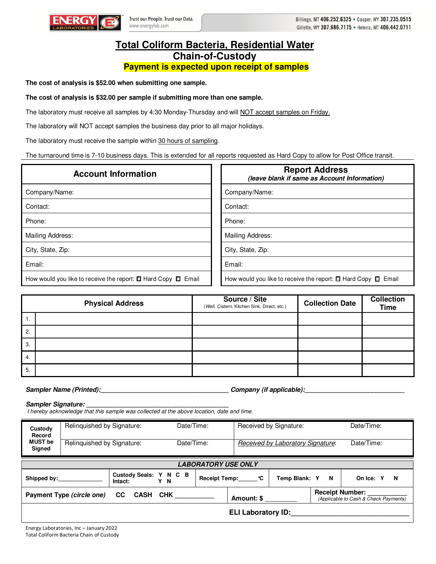

## **Total Coliform Bacteria, Residential Water Chain-of-Custody Payment is expected upon receipt of samples**

**The cost of analysis is \$52.00 when submitting one sample.** 

## **The cost of analysis is \$32.00 per sample if submitting more than one sample.**

The laboratory must receive all samples by 4:30 Monday-Thursday and will NOT accept samples on Friday.

The laboratory will NOT accept samples the business day prior to all major holidays.

The laboratory must receive the sample within 30 hours of sampling.

The turnaround time is 7-10 business days. This is extended for all reports requested as Hard Copy to allow for Post Office transit.

| <b>Account Information</b>                                              | <b>Report Address</b><br>(leave blank if same as Account Information)   |
|-------------------------------------------------------------------------|-------------------------------------------------------------------------|
| Company/Name:                                                           | Company/Name:                                                           |
| Contact:                                                                | Contact:                                                                |
| Phone:                                                                  | Phone:                                                                  |
| Mailing Address:                                                        | Mailing Address:                                                        |
| City, State, Zip:                                                       | City, State, Zip:                                                       |
| Email:                                                                  | Email:                                                                  |
| How would you like to receive the report: $\Box$ Hard Copy $\Box$ Email | How would you like to receive the report: $\Box$ Hard Copy $\Box$ Email |

|    | <b>Physical Address</b> | Source / Site<br>(Well, Cistern, Kitchen Sink, Direct, etc.) | <b>Collection Date</b> | <b>Collection</b><br><b>Time</b> |
|----|-------------------------|--------------------------------------------------------------|------------------------|----------------------------------|
| 1. |                         |                                                              |                        |                                  |
| 2. |                         |                                                              |                        |                                  |
| 3. |                         |                                                              |                        |                                  |
| 4. |                         |                                                              |                        |                                  |
| 5. |                         |                                                              |                        |                                  |

**Sampler Name (Printed):\_\_\_\_\_\_\_\_\_\_\_\_\_\_\_\_\_\_\_\_\_\_\_\_\_\_\_\_\_\_\_\_\_\_\_\_ Company (if applicable):\_\_\_\_\_\_\_\_\_\_\_\_\_\_\_\_\_\_\_\_\_\_\_\_\_\_\_\_** 

Sampler Signature:

I hereby acknowledge that this sample was collected at the above location, date and time.

| Custody<br>Record                                       | Relinguished by Signature: |  | Date/Time:      |                           |                                                                 | Received by Signature:            |                | Date/Time: |  |
|---------------------------------------------------------|----------------------------|--|-----------------|---------------------------|-----------------------------------------------------------------|-----------------------------------|----------------|------------|--|
| <b>MUST</b> be<br>Signed                                | Relinquished by Signature: |  | Date/Time:      |                           |                                                                 | Received by Laboratory Signature: |                | Date/Time: |  |
| <b>LABORATORY USE ONLY</b>                              |                            |  |                 |                           |                                                                 |                                   |                |            |  |
| Custody Seals: Y N C B<br>Shipped by:<br>Intact:<br>Y N |                            |  | Receipt Temp: C | Temp Blank: Y<br><b>N</b> |                                                                 |                                   | On Ice: Y<br>N |            |  |
| Payment Type (circle one)<br>CC.<br>CASH CHK            |                            |  | Amount: \$      |                           | <b>Receipt Number:</b><br>(Applicable to Cash & Check Payments) |                                   |                |            |  |
|                                                         |                            |  |                 |                           | <b>ELI Laboratory ID:</b>                                       |                                   |                |            |  |